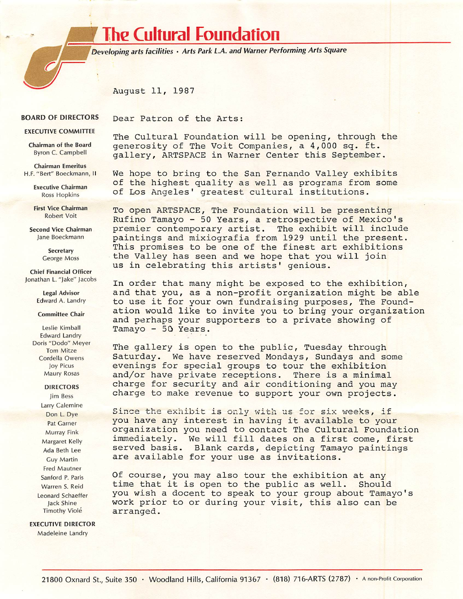# **The Cultural Foundation**

Dear Patron of the Arts:

Developing arts facilities \* Arts Park LA. and Warner Performing Arts Square

August 11, 1987

#### **BOARD OF DIRECTORS**

**EXECUTIVE COMMITTEE** 

Chairman of the Board Byron C. Campbell

**Chairman Emeritus** H.F. "Bert" Boeckmann, II

> Executive Chairman Ross Hopkins

First Vice Chairman Robert Voit

Second Vice Chairman Jane Boeckmann

> **Secretary** George Moss

Chief Financial Officer Jonathan L. "Jake" Jacobs

> Legal Advisor Edward A. Landry

#### Committee Chair

Leslie Kimball Edward Landry Doris "Dodo" Meyer Tom Mitze Cordella Owens Joy Picus Maury Rosas

## DIRECTORS

Jim Bess Larry Calemine Don L. Dye Pat Garner Murray Fink Margaret Kelly Ada Beth Lee Guy Martin Fred Mautner Sanford P. Paris Warren S. Reid Leonard Schaeffer jack Shine Timothy Viole

### **EXECUTIVE DIRECTOR**

Madeleine Landry

The Cultural Foundation will be opening, through the generosity of The Voit Companies, a 4,000 sq. ft. gallery, ARTSPACE in Warner Center this September.

We hope to bring to the San Fernando Valley exhibits of the highest quality as well as programs from some of Los Angeles' greatest cultural institutions.

To open ARTSPACE, The Foundation will be presenting Rufino Tamayo - 50 Years, a retrospective of Mexico's premier contemporary artist. The exhibit will include paintings and mixiografia from 1929 until the present. This promises to be one of the finest art exhibitions the Valley has seen and we hope that you will join us in celebrating this artists' genious.

In order that many might be exposed to the exhibition, and that you, as a non-profit organization might be able to use it for your own fundraising purposes, The Foundation would like to invite you to bring your organization and perhaps your supporters to a private showing of Tamayo - 50 Years.

The gallery is open to the public, Tuesday through Saturday. We have reserved Mondays, Sundays and some evenings for special groups to tour the exhibition and/or have private receptions. There is a minimal charge for security and air conditioning and you may charge to make revenue to support your own projects.

Since the exhibit is only with us for six weeks, if you have any interest in having it available to your organization you need to contact The Cultural Foundation im mediately. We will fill dates on a first come, first served basis. Blank cards, depicting Tamayo paintings are available for your use as invitations.

Of course, you may also tour the exhibition at any time that it is open to the public as well. Should you wish a docent to speak to your group about Tamayo's work prior to or during your visit, this also can be arranged.